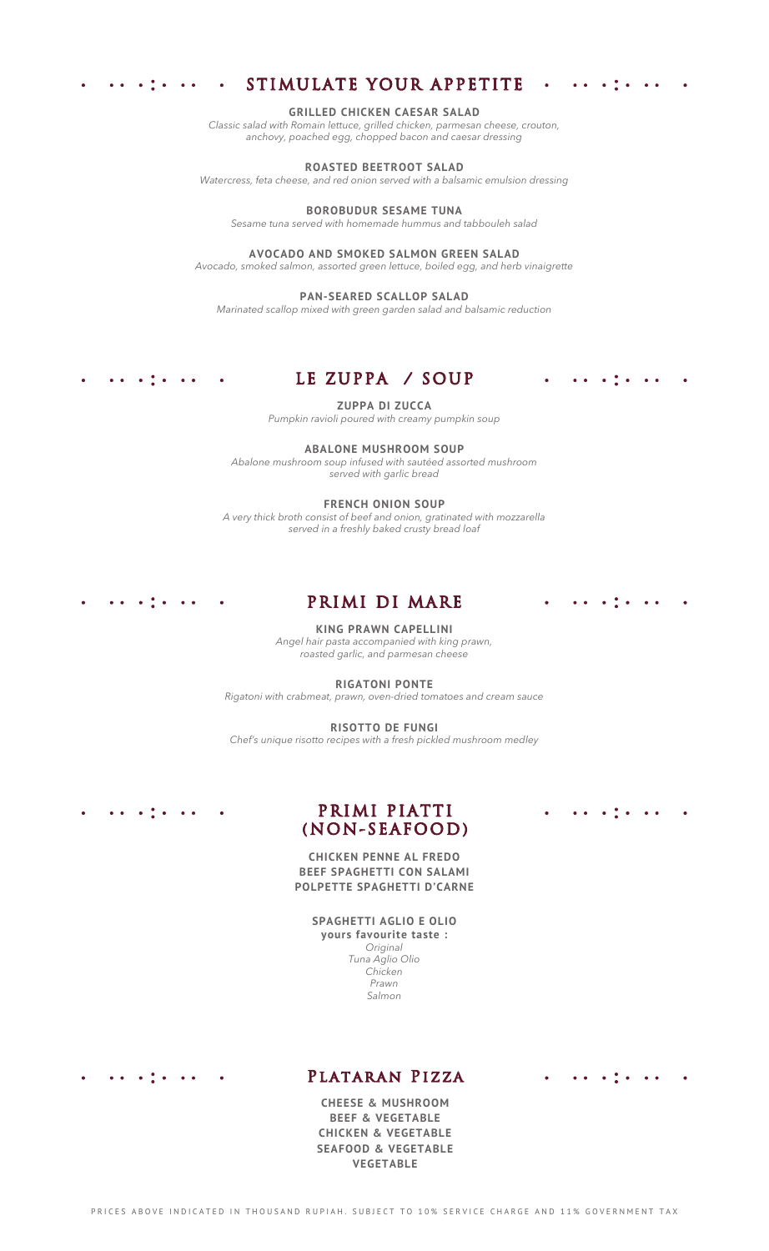#### STIMULATE YOUR APPETITE  $\mathcal{L}(\mathbf{e})$

 $\sim$   $\sim$   $\sim$   $\sim$   $\sim$ 

 $\sim$   $\sim$   $\sim$ 

 $\sim$ 

 $\sim$ 

 $\sim$ 

#### **GRILLED CHICKEN CAESAR SALAD**

*Classic salad with Romain lettuce, grilled chicken, parmesan cheese, crouton, anchovy, poached egg, chopped bacon and caesar dressing*

### **ROASTED BEETROOT SALAD**

*Watercress, feta cheese, and red onion served with a balsamic emulsion dressing*

#### **BOROBUDUR SESAME TUNA**

*Sesame tuna served with homemade hummus and tabbouleh salad*

#### **AVOCADO AND SMOKED SALMON GREEN SALAD**

*Avocado, smoked salmon, assorted green lettuce, boiled egg, and herb vinaigrette*

#### **PAN-SEARED SCALLOP SALAD**

*Marinated scallop mixed with green garden salad and balsamic reduction*

# LE ZUPPA / SOUP

**ZUPPA DI ZUCCA**

*Pumpkin ravioli poured with creamy pumpkin soup*

#### **ABALONE MUSHROOM SOUP**

*Abalone mushroom soup infused with sautéed assorted mushroom served with garlic bread*

#### **FRENCH ONION SOUP**

*A very thick broth consist of beef and onion, gratinated with mozzarella served in a freshly baked crusty bread loaf*

# PRIMI DI MARE

#### **KING PRAWN CAPELLINI**

*Angel hair pasta accompanied with king prawn, roasted garlic, and parmesan cheese*

**RIGATONI PONTE**

*Rigatoni with crabmeat, prawn, oven-dried tomatoes and cream sauce*

#### **RISOTTO DE FUNGI**

*Chef's unique risotto recipes with a fresh pickled mushroom medley*

## $\mathbf{a} \cdot \mathbf{a} = \mathbf{a} \cdot \frac{\partial \mathbf{a}}{\partial \mathbf{a}} \cdot \mathbf{a} = \mathbf{a} \cdot \mathbf{a}$

 $\bullet$  .  $\bullet$  .

 $\mathbf{a}$  ,  $\mathbf{b}$  ,  $\mathbf{a}$ 

**College** 

 $\sim$ 

# PRIMI PIATTI (NON-SEAFOOD)

### **CHICKEN PENNE AL FREDO BEEF SPAGHETTI CON SALAMI POLPETTE SPAGHETTI D'CARNE**

# **SPAGHETTI AGLIO E OLIO**

**yours favourite taste :** *Original Tuna Aglio Olio Chicken Prawn Salmon*

 $\mathbf{a}$  ,  $\mathbf{b}$  ,  $\mathbf{a}$  ,  $\mathbf{a}$  ,  $\mathbf{a}$  $\bullet$  ,  $\bullet$  .

## Plataran Pizza

**CHEESE & MUSHROOM BEEF & VEGETABLE CHICKEN & VEGETABLE SEAFOOD & VEGETABLE VEGETABLE**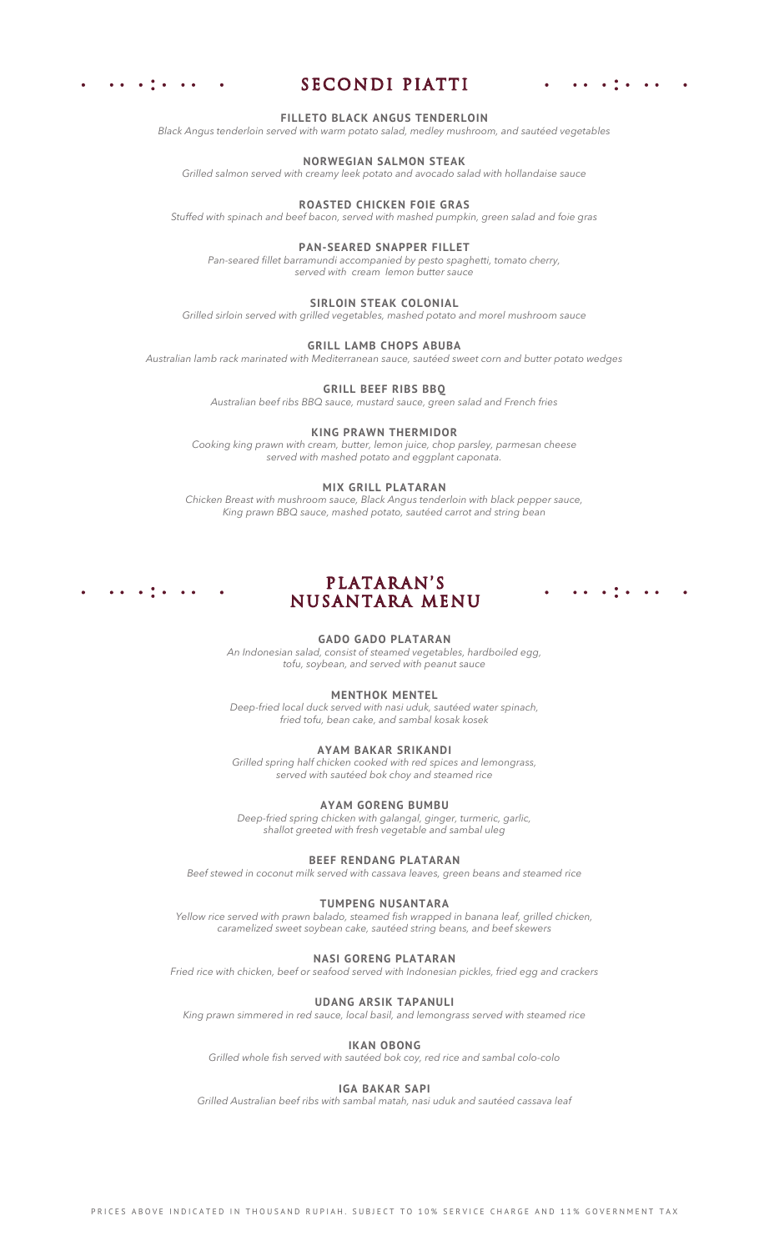

# SECONDI PIATTI

 $\mathbf{r}$  ,  $\mathbf{r}$  ,  $\mathbf{r}$  ,  $\mathbf{r}$ 

#### **FILLETO BLACK ANGUS TENDERLOIN**

*Black Angus tenderloin served with warm potato salad, medley mushroom, and sautéed vegetables*

#### **NORWEGIAN SALMON STEAK**

*Grilled salmon served with creamy leek potato and avocado salad with hollandaise sauce*

## **ROASTED CHICKEN FOIE GRAS**

*Stuffed with spinach and beef bacon, served with mashed pumpkin, green salad and foie gras*

#### **PAN-SEARED SNAPPER FILLET**

*Pan-seared fillet barramundi accompanied by pesto spaghetti, tomato cherry, served with cream lemon butter sauce*

#### **SIRLOIN STEAK COLONIAL**

*Grilled sirloin served with grilled vegetables, mashed potato and morel mushroom sauce*

#### **GRILL LAMB CHOPS ABUBA**

*Australian lamb rack marinated with Mediterranean sauce, sautéed sweet corn and butter potato wedges*

#### **GRILL BEEF RIBS BBQ**

*Australian beef ribs BBQ sauce, mustard sauce, green salad and French fries*

#### **KING PRAWN THERMIDOR**

*Cooking king prawn with cream, butter, lemon juice, chop parsley, parmesan cheese served with mashed potato and eggplant caponata.*

#### **MIX GRILL PLATARAN**

*Chicken Breast with mushroom sauce, Black Angus tenderloin with black pepper sauce, King prawn BBQ sauce, mashed potato, sautéed carrot and string bean*

## PLATARAN'S NUSANTARA MENU

#### **GADO GADO PLATARAN**

*An Indonesian salad, consist of steamed vegetables, hardboiled egg, tofu, soybean, and served with peanut sauce*

#### **MENTHOK MENTEL**

*Deep-fried local duck served with nasi uduk, sautéed water spinach, fried tofu, bean cake, and sambal kosak kosek*

#### **AYAM BAKAR SRIKANDI**

*Grilled spring half chicken cooked with red spices and lemongrass, served with sautéed bok choy and steamed rice*

#### **AYAM GORENG BUMBU**

*Deep-fried spring chicken with galangal, ginger, turmeric, garlic, shallot greeted with fresh vegetable and sambal uleg*

#### **BEEF RENDANG PLATARAN**

*Beef stewed in coconut milk served with cassava leaves, green beans and steamed rice*

#### **TUMPENG NUSANTARA**

*Yellow rice served with prawn balado, steamed fish wrapped in banana leaf, grilled chicken, caramelized sweet soybean cake, sautéed string beans, and beef skewers*

#### **NASI GORENG PLATARAN**

*Fried rice with chicken, beef or seafood served with Indonesian pickles, fried egg and crackers*

#### **UDANG ARSIK TAPANULI**

*King prawn simmered in red sauce, local basil, and lemongrass served with steamed rice*

## **IKAN OBONG**

*Grilled whole fish served with sautéed bok coy, red rice and sambal colo-colo*

#### **IGA BAKAR SAPI**

*Grilled Australian beef ribs with sambal matah, nasi uduk and sautéed cassava leaf*